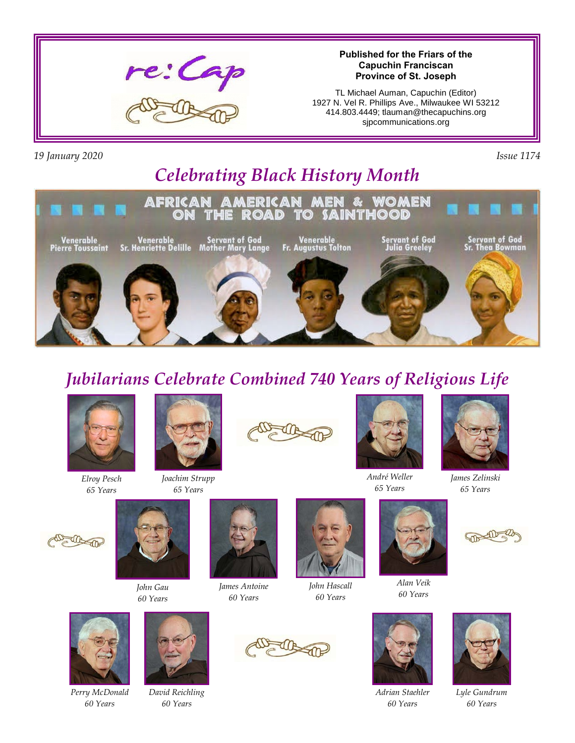

#### **Published for the Friars of the Capuchin Franciscan Province of St. Joseph**

TL Michael Auman, Capuchin (Editor) 1927 N. Vel R. Phillips Ave., Milwaukee WI 53212 414.803.4449; tlauman@thecapuchins.org sjpcommunications.org

*19 January 2020 Issue 1174*

# *Celebrating Black History Month*



## *Jubilarians Celebrate Combined 740 Years of Religious Life*



*Elroy Pesch 65 Years*



*Joachim Strupp 65 Years*





*André Weller 65 Years*



*James Zelinski 65 Years*





*John Gau 60 Years*



*James Antoine 60 Years*



*John Hascall 60 Years*





*Adrian Staehler 60 Years*







*Perry McDonald 60 Years*



*David Reichling 60 Years*





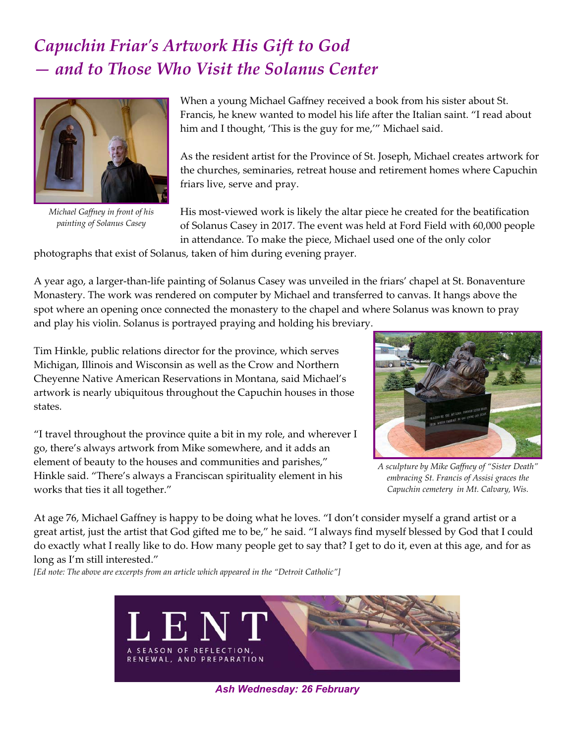## *Capuchin Friar's Artwork His Gift to God — and to Those Who Visit the Solanus Center*



*Michael Gaffney in front of his painting of Solanus Casey*

When a young Michael Gaffney received a book from his sister about St. Francis, he knew wanted to model his life after the Italian saint. "I read about him and I thought, 'This is the guy for me,'" Michael said.

As the resident artist for the Province of St. Joseph, Michael creates artwork for the churches, seminaries, retreat house and retirement homes where Capuchin friars live, serve and pray.

His most-viewed work is likely the altar piece he created for the beatification of Solanus Casey in 2017. The event was held at Ford Field with 60,000 people in attendance. To make the piece, Michael used one of the only color

photographs that exist of Solanus, taken of him during evening prayer.

A year ago, a larger-than-life painting of Solanus Casey was unveiled in the friars' chapel at St. Bonaventure Monastery. The work was rendered on computer by Michael and transferred to canvas. It hangs above the spot where an opening once connected the monastery to the chapel and where Solanus was known to pray and play his violin. Solanus is portrayed praying and holding his breviary.

Tim Hinkle, public relations director for the province, which serves Michigan, Illinois and Wisconsin as well as the Crow and Northern Cheyenne Native American Reservations in Montana, said Michael's artwork is nearly ubiquitous throughout the Capuchin houses in those states.

"I travel throughout the province quite a bit in my role, and wherever I go, there's always artwork from Mike somewhere, and it adds an element of beauty to the houses and communities and parishes," Hinkle said. "There's always a Franciscan spirituality element in his works that ties it all together."



*A sculpture by Mike Gaffney of "Sister Death" embracing St. Francis of Assisi graces the Capuchin cemetery in Mt. Calvary, Wis.*

At age 76, Michael Gaffney is happy to be doing what he loves. "I don't consider myself a grand artist or a great artist, just the artist that God gifted me to be," he said. "I always find myself blessed by God that I could do exactly what I really like to do. How many people get to say that? I get to do it, even at this age, and for as long as I'm still interested."

*[Ed note: The above are excerpts from an article which appeared in the "Detroit Catholic"]*



*Ash Wednesday: 26 February*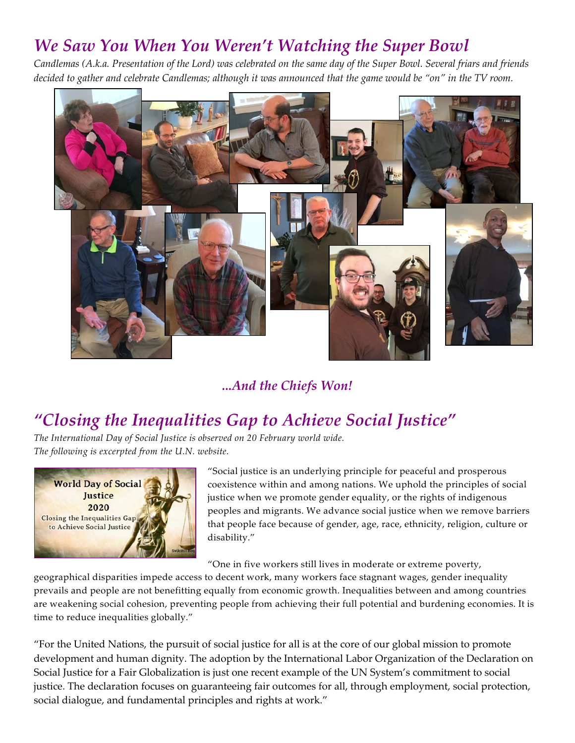#### *We Saw You When You Weren't Watching the Super Bowl*

*Candlemas (A.k.a. Presentation of the Lord) was celebrated on the same day of the Super Bowl. Several friars and friends decided to gather and celebrate Candlemas; although it was announced that the game would be "on" in the TV room.*



#### *...And the Chiefs Won!*

### *"Closing the Inequalities Gap to Achieve Social Justice"*

*The International Day of Social Justice is observed on 20 February world wide. The following is excerpted from the U.N. website.*



"Social justice is an underlying principle for peaceful and prosperous coexistence within and among nations. We uphold the principles of social justice when we promote gender equality, or the rights of indigenous peoples and migrants. We advance social justice when we remove barriers that people face because of gender, age, race, ethnicity, religion, culture or disability."

"One in five workers still lives in moderate or extreme poverty,

geographical disparities impede access to decent work, many workers face stagnant wages, gender inequality prevails and people are not benefitting equally from economic growth. Inequalities between and among countries are weakening social cohesion, preventing people from achieving their full potential and burdening economies. It is time to reduce inequalities globally."

"For the United Nations, the pursuit of social justice for all is at the core of our global mission to promote development and human dignity. The adoption by the International Labor Organization of the Declaration on Social Justice for a Fair Globalization is just one recent example of the UN System's commitment to social justice. The declaration focuses on guaranteeing fair outcomes for all, through employment, social protection, social dialogue, and fundamental principles and rights at work."